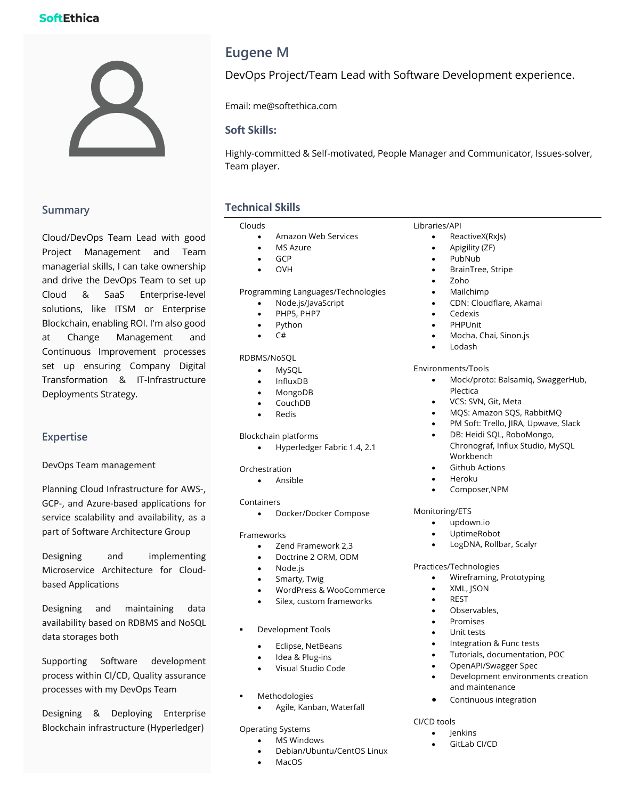# **SoftEthica**



# **Summary**

Cloud/DevOps Team Lead with good Project Management and Team managerial skills, I can take ownership and drive the DevOps Team to set up Cloud & SaaS Enterprise-level solutions, like ITSM or Enterprise Blockchain, enabling ROI. I'm also good at Change Management and Continuous Improvement processes set up ensuring Company Digital Transformation & IT-Infrastructure Deployments Strategy.

# **Expertise**

DevOps Team management

Planning Cloud Infrastructure for AWS-, GCP-, and Azure-based applications for service scalability and availability, as a part of Software Architecture Group

Designing and implementing Microservice Architecture for Cloudbased Applications

Designing and maintaining data availability based on RDBMS and NoSQL data storages both

Supporting Software development process within CI/CD, Quality assurance processes with my DevOps Team

Designing & Deploying Enterprise Blockchain infrastructure (Hyperledger)

# **Eugene M**

DevOps Project/Team Lead with Software Development experience.

Email: me@softethica.com

### **Soft Skills:**

Highly-committed & Self-motivated, People Manager and Communicator, Issues-solver, Team player.

# **Technical Skills**

### Clouds

- Amazon Web Services
- **MS Azure**
- GCP
- OVH

Programming Languages/Technologies

- Node.js/JavaScript
- PHP5, PHP7
- Python
- C#

### RDBMS/NoSQL

- MySQL
- InfluxDB
- MongoDB
- CouchDB
- Redis

Blockchain platforms

• Hyperledger Fabric 1.4, 2.1

Orchestration

• Ansible

Containers

• Docker/Docker Compose

Frameworks

- Zend Framework 2,3
- Doctrine 2 ORM, ODM
- Node.js
- Smarty, Twig
- WordPress & WooCommerce
- Silex, custom frameworks
- § Development Tools
	- Eclipse, NetBeans
	- Idea & Plug-ins
	- Visual Studio Code
- **Methodologies** 
	- Agile, Kanban, Waterfall

Operating Systems

- **MS Windows** 
	- Debian/Ubuntu/CentOS Linux
	- MacO<sub>S</sub>

### Libraries/API

- ReactiveX(RxJs)
- Apigility (ZF)
- PubNub
- BrainTree, Stripe
- Zoho
- Mailchimp
- CDN: Cloudflare, Akamai
- Cedexis
- **PHPUnit**
- Mocha, Chai, Sinon.js
- Lodash

### Environments/Tools

- Mock/proto: Balsamiq, SwaggerHub, Plectica
- VCS: SVN, Git, Meta
- MQS: Amazon SQS, RabbitMQ
- PM Soft: Trello, JIRA, Upwave, Slack
- DB: Heidi SQL, RoboMongo, Chronograf, Influx Studio, MySQL Workbench
- **Github Actions**
- Heroku
- Composer,NPM

### Monitoring/ETS

- updown.io
- UptimeRobot
- LogDNA, Rollbar, Scalyr

### Practices/Technologies

- Wireframing, Prototyping
- XML, JSON
- **REST**
- Observables,
- Promises
- Unit tests
- Integration & Func tests
- Tutorials, documentation, POC
- OpenAPI/Swagger Spec
- Development environments creation and maintenance
- Continuous integration

### CI/CD tools

- **lenkins**
- GitLab CI/CD
- 

- 
-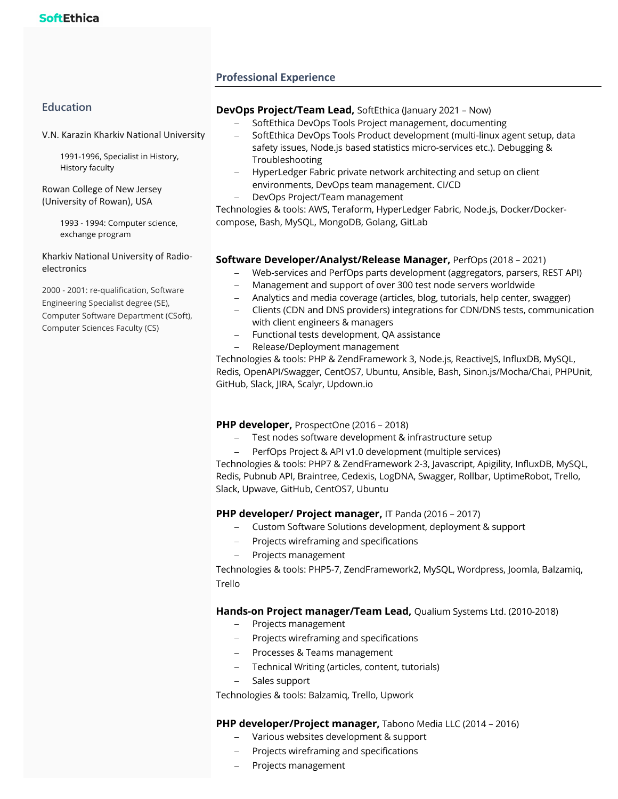# **Professional Experience**

# **Education**

V.N. Karazin Kharkiv National University

1991-1996, Specialist in History, History faculty

Rowan College of New Jersey (University of Rowan), USA

> 1993 - 1994: Computer science, exchange program

Kharkiv National University of Radioelectronics

2000 - 2001: re-qualification, Software Engineering Specialist degree (SE), Computer Software Department (CSoft), Computer Sciences Faculty (CS)

### **DevOps Project/Team Lead,** SoftEthica (January 2021 – Now)

- SoftEthica DevOps Tools Project management, documenting
- SoftEthica DevOps Tools Product development (multi-linux agent setup, data safety issues, Node.js based statistics micro-services etc.). Debugging & Troubleshooting
- HyperLedger Fabric private network architecting and setup on client environments, DevOps team management. CI/CD
- DevOps Project/Team management

Technologies & tools: AWS, Teraform, HyperLedger Fabric, Node.js, Docker/Dockercompose, Bash, MySQL, MongoDB, Golang, GitLab

### **Software Developer/Analyst/Release Manager,** PerfOps (2018 – 2021)

- Web-services and PerfOps parts development (aggregators, parsers, REST API)
- Management and support of over 300 test node servers worldwide
- Analytics and media coverage (articles, blog, tutorials, help center, swagger)
- Clients (CDN and DNS providers) integrations for CDN/DNS tests, communication with client engineers & managers
- Functional tests development, QA assistance
- Release/Deployment management

Technologies & tools: PHP & ZendFramework 3, Node.js, ReactiveJS, InfluxDB, MySQL, Redis, OpenAPI/Swagger, CentOS7, Ubuntu, Ansible, Bash, Sinon.js/Mocha/Chai, PHPUnit, GitHub, Slack, JIRA, Scalyr, Updown.io

### **PHP developer,** ProspectOne (2016 – 2018)

- Test nodes software development & infrastructure setup
- PerfOps Project & API v1.0 development (multiple services)

Technologies & tools: PHP7 & ZendFramework 2-3, Javascript, Apigility, InfluxDB, MySQL, Redis, Pubnub API, Braintree, Cedexis, LogDNA, Swagger, Rollbar, UptimeRobot, Trello, Slack, Upwave, GitHub, CentOS7, Ubuntu

### **PHP developer/ Project manager,** IT Panda (2016 – 2017)

- Custom Software Solutions development, deployment & support
- Projects wireframing and specifications
- Projects management

Technologies & tools: PHP5-7, ZendFramework2, MySQL, Wordpress, Joomla, Balzamiq, Trello

### **Hands-on Project manager/Team Lead,** Qualium Systems Ltd. (2010-2018)

- Projects management
- Projects wireframing and specifications
- Processes & Teams management
- Technical Writing (articles, content, tutorials)
- Sales support

Technologies & tools: Balzamiq, Trello, Upwork

### **PHP developer/Project manager,** Tabono Media LLC (2014 – 2016)

- Various websites development & support
- Projects wireframing and specifications
- Projects management